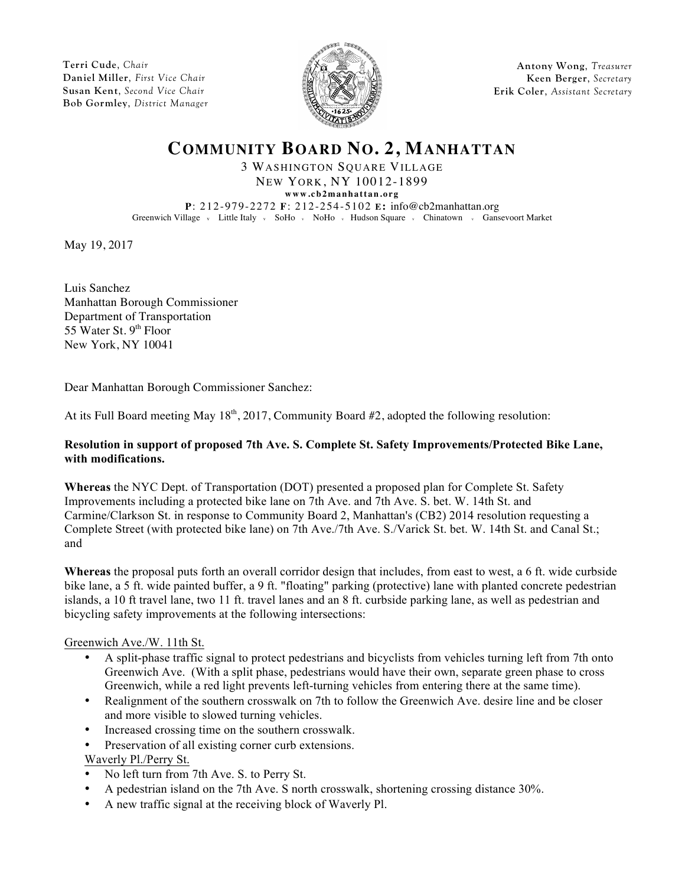**Terri Cude**, *Chair* **Daniel Miller**, *First Vice Chair* **Susan Kent**, *Second Vice Chair* **Bob Gormley**, *District Manager*



**Antony Wong**, *Treasurer* **Keen Berger**, *Secretary* **Erik Coler**, *Assistant Secretary*

# **COMMUNITY BOARD NO. 2, MANHATTAN**

3 WASHINGTON SQUARE VILLAGE NEW YORK, NY 10012-1899

**www.cb2manhattan.org**

**P**: 212-979-2272 **F**: 212-254-5102 **E:** info@cb2manhattan.org Greenwich Village v Little Italy v SoHo v NoHo v Hudson Square v Chinatown v Gansevoort Market

May 19, 2017

Luis Sanchez Manhattan Borough Commissioner Department of Transportation 55 Water St.  $9<sup>th</sup>$  Floor New York, NY 10041

Dear Manhattan Borough Commissioner Sanchez:

At its Full Board meeting May 18<sup>th</sup>, 2017, Community Board #2, adopted the following resolution:

#### **Resolution in support of proposed 7th Ave. S. Complete St. Safety Improvements/Protected Bike Lane, with modifications.**

**Whereas** the NYC Dept. of Transportation (DOT) presented a proposed plan for Complete St. Safety Improvements including a protected bike lane on 7th Ave. and 7th Ave. S. bet. W. 14th St. and Carmine/Clarkson St. in response to Community Board 2, Manhattan's (CB2) 2014 resolution requesting a Complete Street (with protected bike lane) on 7th Ave./7th Ave. S./Varick St. bet. W. 14th St. and Canal St.; and

**Whereas** the proposal puts forth an overall corridor design that includes, from east to west, a 6 ft. wide curbside bike lane, a 5 ft. wide painted buffer, a 9 ft. "floating" parking (protective) lane with planted concrete pedestrian islands, a 10 ft travel lane, two 11 ft. travel lanes and an 8 ft. curbside parking lane, as well as pedestrian and bicycling safety improvements at the following intersections:

### Greenwich Ave./W. 11th St.

- A split-phase traffic signal to protect pedestrians and bicyclists from vehicles turning left from 7th onto Greenwich Ave. (With a split phase, pedestrians would have their own, separate green phase to cross Greenwich, while a red light prevents left-turning vehicles from entering there at the same time).
- Realignment of the southern crosswalk on 7th to follow the Greenwich Ave. desire line and be closer and more visible to slowed turning vehicles.
- Increased crossing time on the southern crosswalk.
- Preservation of all existing corner curb extensions.

### Waverly Pl./Perry St.

- No left turn from 7th Ave. S. to Perry St.
- A pedestrian island on the 7th Ave. S north crosswalk, shortening crossing distance 30%.
- A new traffic signal at the receiving block of Waverly Pl.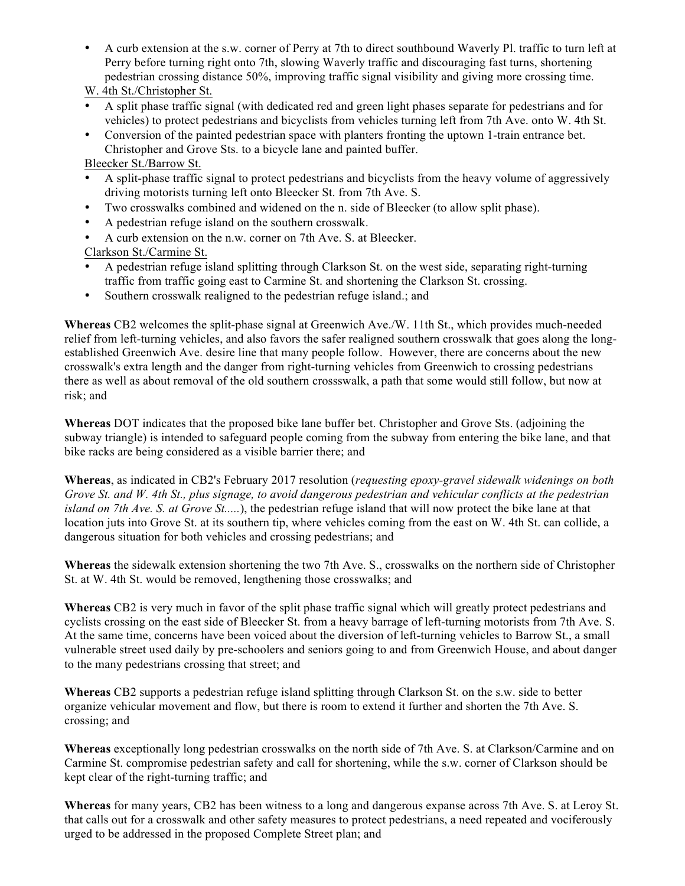• A curb extension at the s.w. corner of Perry at 7th to direct southbound Waverly Pl. traffic to turn left at Perry before turning right onto 7th, slowing Waverly traffic and discouraging fast turns, shortening pedestrian crossing distance 50%, improving traffic signal visibility and giving more crossing time.

W. 4th St./Christopher St.

- A split phase traffic signal (with dedicated red and green light phases separate for pedestrians and for vehicles) to protect pedestrians and bicyclists from vehicles turning left from 7th Ave. onto W. 4th St.
- Conversion of the painted pedestrian space with planters fronting the uptown 1-train entrance bet. Christopher and Grove Sts. to a bicycle lane and painted buffer.

Bleecker St./Barrow St.

- A split-phase traffic signal to protect pedestrians and bicyclists from the heavy volume of aggressively driving motorists turning left onto Bleecker St. from 7th Ave. S.
- Two crosswalks combined and widened on the n. side of Bleecker (to allow split phase).
- A pedestrian refuge island on the southern crosswalk.
- A curb extension on the n.w. corner on 7th Ave. S. at Bleecker.

Clarkson St./Carmine St.

- A pedestrian refuge island splitting through Clarkson St. on the west side, separating right-turning traffic from traffic going east to Carmine St. and shortening the Clarkson St. crossing.
- Southern crosswalk realigned to the pedestrian refuge island.; and

**Whereas** CB2 welcomes the split-phase signal at Greenwich Ave./W. 11th St., which provides much-needed relief from left-turning vehicles, and also favors the safer realigned southern crosswalk that goes along the longestablished Greenwich Ave. desire line that many people follow. However, there are concerns about the new crosswalk's extra length and the danger from right-turning vehicles from Greenwich to crossing pedestrians there as well as about removal of the old southern crossswalk, a path that some would still follow, but now at risk; and

**Whereas** DOT indicates that the proposed bike lane buffer bet. Christopher and Grove Sts. (adjoining the subway triangle) is intended to safeguard people coming from the subway from entering the bike lane, and that bike racks are being considered as a visible barrier there; and

**Whereas**, as indicated in CB2's February 2017 resolution (*requesting epoxy-gravel sidewalk widenings on both Grove St. and W. 4th St., plus signage, to avoid dangerous pedestrian and vehicular conflicts at the pedestrian island on 7th Ave. S. at Grove St.....*), the pedestrian refuge island that will now protect the bike lane at that location juts into Grove St. at its southern tip, where vehicles coming from the east on W. 4th St. can collide, a dangerous situation for both vehicles and crossing pedestrians; and

**Whereas** the sidewalk extension shortening the two 7th Ave. S., crosswalks on the northern side of Christopher St. at W. 4th St. would be removed, lengthening those crosswalks; and

**Whereas** CB2 is very much in favor of the split phase traffic signal which will greatly protect pedestrians and cyclists crossing on the east side of Bleecker St. from a heavy barrage of left-turning motorists from 7th Ave. S. At the same time, concerns have been voiced about the diversion of left-turning vehicles to Barrow St., a small vulnerable street used daily by pre-schoolers and seniors going to and from Greenwich House, and about danger to the many pedestrians crossing that street; and

**Whereas** CB2 supports a pedestrian refuge island splitting through Clarkson St. on the s.w. side to better organize vehicular movement and flow, but there is room to extend it further and shorten the 7th Ave. S. crossing; and

**Whereas** exceptionally long pedestrian crosswalks on the north side of 7th Ave. S. at Clarkson/Carmine and on Carmine St. compromise pedestrian safety and call for shortening, while the s.w. corner of Clarkson should be kept clear of the right-turning traffic; and

**Whereas** for many years, CB2 has been witness to a long and dangerous expanse across 7th Ave. S. at Leroy St. that calls out for a crosswalk and other safety measures to protect pedestrians, a need repeated and vociferously urged to be addressed in the proposed Complete Street plan; and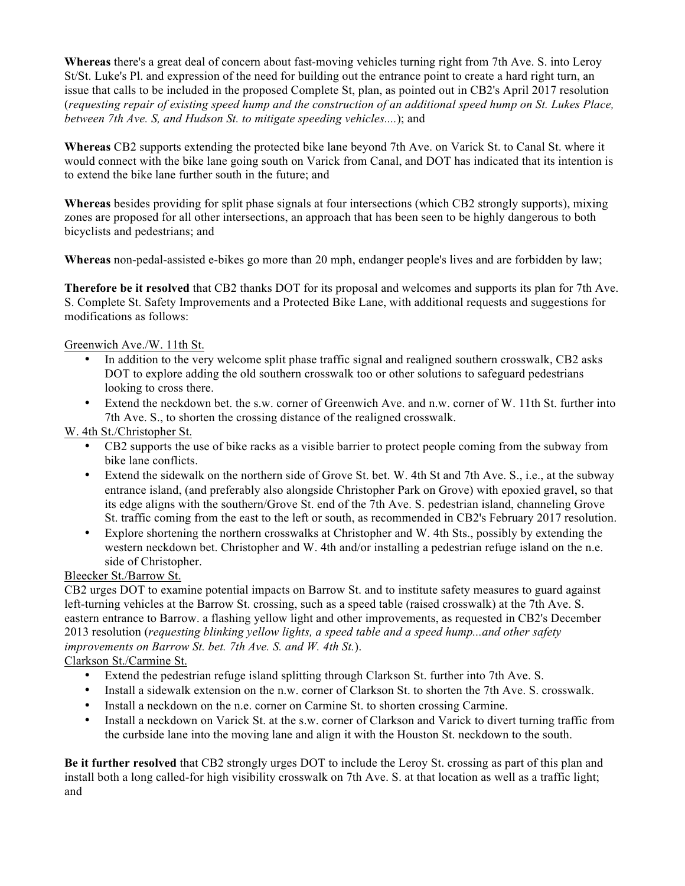**Whereas** there's a great deal of concern about fast-moving vehicles turning right from 7th Ave. S. into Leroy St/St. Luke's Pl. and expression of the need for building out the entrance point to create a hard right turn, an issue that calls to be included in the proposed Complete St, plan, as pointed out in CB2's April 2017 resolution (*requesting repair of existing speed hump and the construction of an additional speed hump on St. Lukes Place, between 7th Ave. S, and Hudson St. to mitigate speeding vehicles....*); and

**Whereas** CB2 supports extending the protected bike lane beyond 7th Ave. on Varick St. to Canal St. where it would connect with the bike lane going south on Varick from Canal, and DOT has indicated that its intention is to extend the bike lane further south in the future; and

**Whereas** besides providing for split phase signals at four intersections (which CB2 strongly supports), mixing zones are proposed for all other intersections, an approach that has been seen to be highly dangerous to both bicyclists and pedestrians; and

**Whereas** non-pedal-assisted e-bikes go more than 20 mph, endanger people's lives and are forbidden by law;

**Therefore be it resolved** that CB2 thanks DOT for its proposal and welcomes and supports its plan for 7th Ave. S. Complete St. Safety Improvements and a Protected Bike Lane, with additional requests and suggestions for modifications as follows:

Greenwich Ave./W. 11th St.

- In addition to the very welcome split phase traffic signal and realigned southern crosswalk, CB2 asks DOT to explore adding the old southern crosswalk too or other solutions to safeguard pedestrians looking to cross there.
- Extend the neckdown bet. the s.w. corner of Greenwich Ave. and n.w. corner of W. 11th St. further into 7th Ave. S., to shorten the crossing distance of the realigned crosswalk.

W. 4th St./Christopher St.

- CB2 supports the use of bike racks as a visible barrier to protect people coming from the subway from bike lane conflicts.
- Extend the sidewalk on the northern side of Grove St. bet. W. 4th St and 7th Ave. S., i.e., at the subway entrance island, (and preferably also alongside Christopher Park on Grove) with epoxied gravel, so that its edge aligns with the southern/Grove St. end of the 7th Ave. S. pedestrian island, channeling Grove St. traffic coming from the east to the left or south, as recommended in CB2's February 2017 resolution.
- Explore shortening the northern crosswalks at Christopher and W. 4th Sts., possibly by extending the western neckdown bet. Christopher and W. 4th and/or installing a pedestrian refuge island on the n.e. side of Christopher.

Bleecker St./Barrow St.

CB2 urges DOT to examine potential impacts on Barrow St. and to institute safety measures to guard against left-turning vehicles at the Barrow St. crossing, such as a speed table (raised crosswalk) at the 7th Ave. S. eastern entrance to Barrow. a flashing yellow light and other improvements, as requested in CB2's December 2013 resolution (*requesting blinking yellow lights, a speed table and a speed hump...and other safety improvements on Barrow St. bet. 7th Ave. S. and W. 4th St.*).

## Clarkson St./Carmine St.

- Extend the pedestrian refuge island splitting through Clarkson St. further into 7th Ave. S.
- Install a sidewalk extension on the n.w. corner of Clarkson St. to shorten the 7th Ave. S. crosswalk.
- Install a neckdown on the n.e. corner on Carmine St. to shorten crossing Carmine.
- Install a neckdown on Varick St. at the s.w. corner of Clarkson and Varick to divert turning traffic from the curbside lane into the moving lane and align it with the Houston St. neckdown to the south.

**Be it further resolved** that CB2 strongly urges DOT to include the Leroy St. crossing as part of this plan and install both a long called-for high visibility crosswalk on 7th Ave. S. at that location as well as a traffic light; and